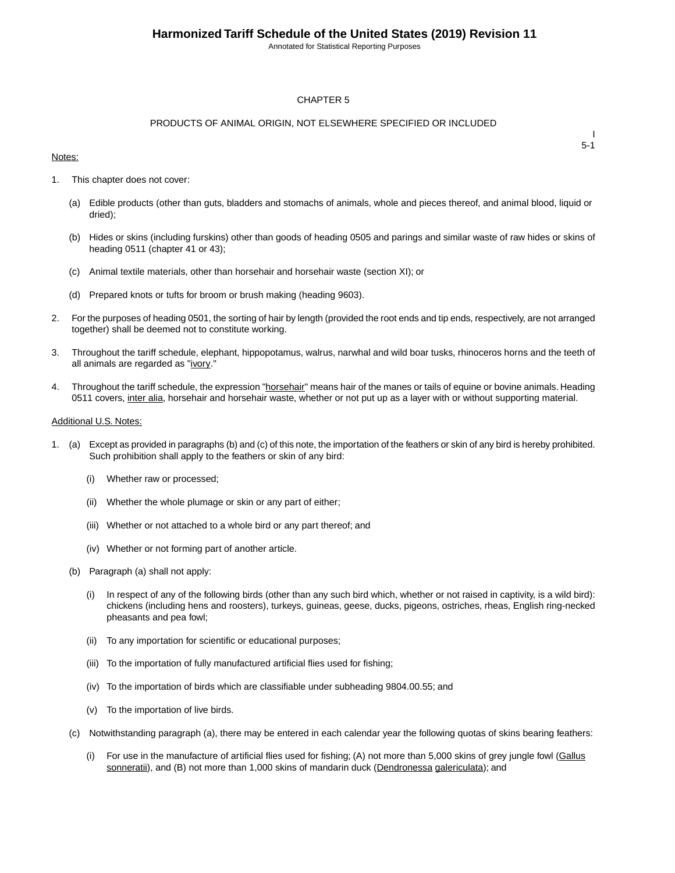Annotated for Statistical Reporting Purposes

#### CHAPTER 5

#### PRODUCTS OF ANIMAL ORIGIN, NOT ELSEWHERE SPECIFIED OR INCLUDED

#### Notes:

I 5-1

- 1. This chapter does not cover:
	- (a) Edible products (other than guts, bladders and stomachs of animals, whole and pieces thereof, and animal blood, liquid or dried);
	- (b) Hides or skins (including furskins) other than goods of heading 0505 and parings and similar waste of raw hides or skins of heading 0511 (chapter 41 or 43);
	- (c) Animal textile materials, other than horsehair and horsehair waste (section XI); or
	- (d) Prepared knots or tufts for broom or brush making (heading 9603).
- 2. For the purposes of heading 0501, the sorting of hair by length (provided the root ends and tip ends, respectively, are not arranged together) shall be deemed not to constitute working.
- 3. Throughout the tariff schedule, elephant, hippopotamus, walrus, narwhal and wild boar tusks, rhinoceros horns and the teeth of all animals are regarded as "ivory."
- 4. Throughout the tariff schedule, the expression "horsehair" means hair of the manes or tails of equine or bovine animals. Heading 0511 covers, inter alia, horsehair and horsehair waste, whether or not put up as a layer with or without supporting material.

#### Additional U.S. Notes:

- 1. (a) Except as provided in paragraphs (b) and (c) of this note, the importation of the feathers or skin of any bird is hereby prohibited. Such prohibition shall apply to the feathers or skin of any bird:
	- (i) Whether raw or processed;
	- (ii) Whether the whole plumage or skin or any part of either;
	- (iii) Whether or not attached to a whole bird or any part thereof; and
	- (iv) Whether or not forming part of another article.
	- (b) Paragraph (a) shall not apply:
		- (i) In respect of any of the following birds (other than any such bird which, whether or not raised in captivity, is a wild bird): chickens (including hens and roosters), turkeys, guineas, geese, ducks, pigeons, ostriches, rheas, English ring-necked pheasants and pea fowl;
		- (ii) To any importation for scientific or educational purposes;
		- (iii) To the importation of fully manufactured artificial flies used for fishing;
		- (iv) To the importation of birds which are classifiable under subheading 9804.00.55; and
		- (v) To the importation of live birds.
	- (c) Notwithstanding paragraph (a), there may be entered in each calendar year the following quotas of skins bearing feathers:
		- (i) For use in the manufacture of artificial flies used for fishing; (A) not more than 5,000 skins of grey jungle fowl (Gallus sonneratii), and (B) not more than 1,000 skins of mandarin duck (Dendronessa galericulata); and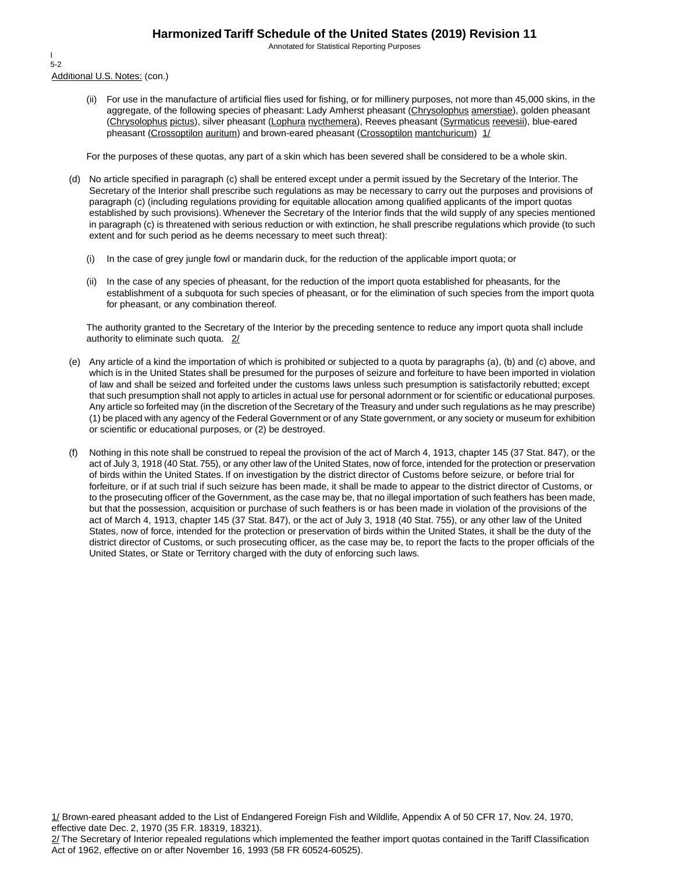Annotated for Statistical Reporting Purposes

Additional U.S. Notes: (con.) I 5-2

> (ii) For use in the manufacture of artificial flies used for fishing, or for millinery purposes, not more than 45,000 skins, in the aggregate, of the following species of pheasant: Lady Amherst pheasant (Chrysolophus amerstiae), golden pheasant (Chrysolophus pictus), silver pheasant (Lophura nycthemera), Reeves pheasant (Syrmaticus reevesii), blue-eared pheasant (Crossoptilon auritum) and brown-eared pheasant (Crossoptilon mantchuricum)  $1/$

For the purposes of these quotas, any part of a skin which has been severed shall be considered to be a whole skin.

- (d) No article specified in paragraph (c) shall be entered except under a permit issued by the Secretary of the Interior. The Secretary of the Interior shall prescribe such regulations as may be necessary to carry out the purposes and provisions of paragraph (c) (including regulations providing for equitable allocation among qualified applicants of the import quotas established by such provisions). Whenever the Secretary of the Interior finds that the wild supply of any species mentioned in paragraph (c) is threatened with serious reduction or with extinction, he shall prescribe regulations which provide (to such extent and for such period as he deems necessary to meet such threat):
	- (i) In the case of grey jungle fowl or mandarin duck, for the reduction of the applicable import quota; or
	- (ii) In the case of any species of pheasant, for the reduction of the import quota established for pheasants, for the establishment of a subquota for such species of pheasant, or for the elimination of such species from the import quota for pheasant, or any combination thereof.

The authority granted to the Secretary of the Interior by the preceding sentence to reduce any import quota shall include authority to eliminate such quota. 2/

- (e) Any article of a kind the importation of which is prohibited or subjected to a quota by paragraphs (a), (b) and (c) above, and which is in the United States shall be presumed for the purposes of seizure and forfeiture to have been imported in violation of law and shall be seized and forfeited under the customs laws unless such presumption is satisfactorily rebutted; except that such presumption shall not apply to articles in actual use for personal adornment or for scientific or educational purposes. Any article so forfeited may (in the discretion of the Secretary of the Treasury and under such regulations as he may prescribe) (1) be placed with any agency of the Federal Government or of any State government, or any society or museum for exhibition or scientific or educational purposes, or (2) be destroyed.
- (f) Nothing in this note shall be construed to repeal the provision of the act of March 4, 1913, chapter 145 (37 Stat. 847), or the act of July 3, 1918 (40 Stat. 755), or any other law of the United States, now of force, intended for the protection or preservation of birds within the United States. If on investigation by the district director of Customs before seizure, or before trial for forfeiture, or if at such trial if such seizure has been made, it shall be made to appear to the district director of Customs, or to the prosecuting officer of the Government, as the case may be, that no illegal importation of such feathers has been made, but that the possession, acquisition or purchase of such feathers is or has been made in violation of the provisions of the act of March 4, 1913, chapter 145 (37 Stat. 847), or the act of July 3, 1918 (40 Stat. 755), or any other law of the United States, now of force, intended for the protection or preservation of birds within the United States, it shall be the duty of the district director of Customs, or such prosecuting officer, as the case may be, to report the facts to the proper officials of the United States, or State or Territory charged with the duty of enforcing such laws.

1/ Brown-eared pheasant added to the List of Endangered Foreign Fish and Wildlife, Appendix A of 50 CFR 17, Nov. 24, 1970, effective date Dec. 2, 1970 (35 F.R. 18319, 18321).

<sup>2/</sup> The Secretary of Interior repealed regulations which implemented the feather import quotas contained in the Tariff Classification Act of 1962, effective on or after November 16, 1993 (58 FR 60524-60525).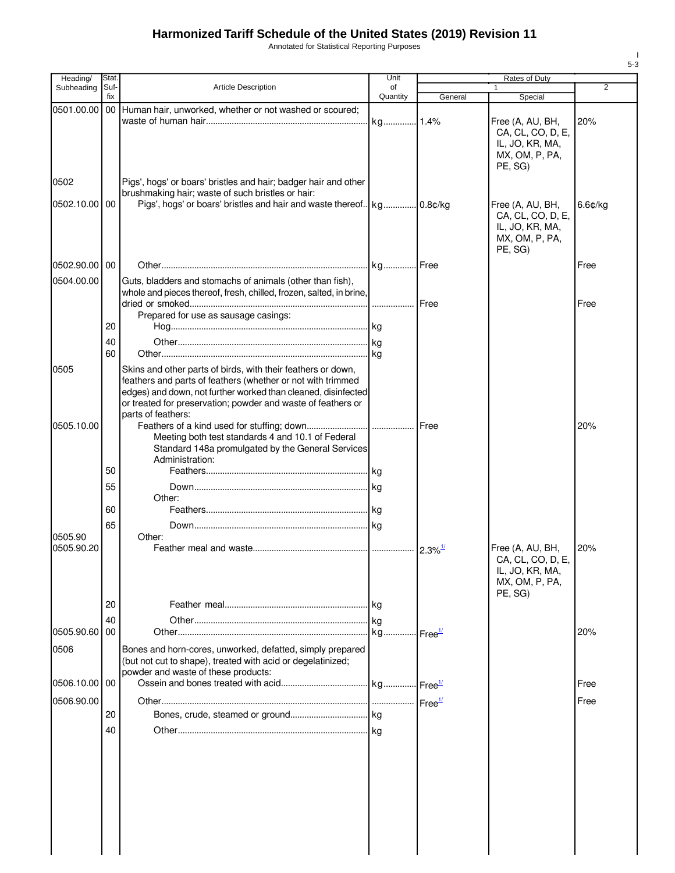Annotated for Statistical Reporting Purposes

| Heading/              | Stat.       |                                                                                                                                                                                                                                                              | Unit                        | Rates of Duty         |                                                                                       |            |  |
|-----------------------|-------------|--------------------------------------------------------------------------------------------------------------------------------------------------------------------------------------------------------------------------------------------------------------|-----------------------------|-----------------------|---------------------------------------------------------------------------------------|------------|--|
| Subheading            | Suf-<br>fix | <b>Article Description</b>                                                                                                                                                                                                                                   | of<br>Quantity              | General               | $\mathbf{1}$<br>Special                                                               | 2          |  |
| 0501.00.00            | 00          | Human hair, unworked, whether or not washed or scoured;                                                                                                                                                                                                      | kg 1.4%                     |                       | Free (A, AU, BH,                                                                      | 20%        |  |
|                       |             |                                                                                                                                                                                                                                                              |                             |                       | CA, CL, CO, D, E,<br>IL, JO, KR, MA,<br>MX, OM, P, PA,<br>PE, SG)                     |            |  |
| 0502                  |             | Pigs', hogs' or boars' bristles and hair; badger hair and other<br>brushmaking hair; waste of such bristles or hair:                                                                                                                                         |                             |                       |                                                                                       |            |  |
| 0502.10.00            | 00          |                                                                                                                                                                                                                                                              |                             |                       | Free (A, AU, BH,<br>CA, CL, CO, D, E,<br>IL, JO, KR, MA,<br>MX, OM, P, PA,<br>PE, SG) | $6.6$ ¢/kg |  |
| 0502.90.00 00         |             |                                                                                                                                                                                                                                                              |                             |                       |                                                                                       | Free       |  |
| 0504.00.00            |             | Guts, bladders and stomachs of animals (other than fish),<br>whole and pieces thereof, fresh, chilled, frozen, salted, in brine,                                                                                                                             |                             | Free                  |                                                                                       | Free       |  |
|                       |             | Prepared for use as sausage casings:                                                                                                                                                                                                                         |                             |                       |                                                                                       |            |  |
|                       | 20          |                                                                                                                                                                                                                                                              |                             |                       |                                                                                       |            |  |
|                       | 40          |                                                                                                                                                                                                                                                              |                             |                       |                                                                                       |            |  |
|                       | 60          |                                                                                                                                                                                                                                                              |                             |                       |                                                                                       |            |  |
| 0505                  |             | Skins and other parts of birds, with their feathers or down,<br>feathers and parts of feathers (whether or not with trimmed<br>edges) and down, not further worked than cleaned, disinfected<br>or treated for preservation; powder and waste of feathers or |                             |                       |                                                                                       |            |  |
| 0505.10.00            |             | parts of feathers:                                                                                                                                                                                                                                           |                             |                       |                                                                                       | 20%        |  |
|                       |             | Meeting both test standards 4 and 10.1 of Federal<br>Standard 148a promulgated by the General Services<br>Administration:                                                                                                                                    |                             |                       |                                                                                       |            |  |
|                       | 50          |                                                                                                                                                                                                                                                              |                             |                       |                                                                                       |            |  |
|                       | 55          | Other:                                                                                                                                                                                                                                                       |                             |                       |                                                                                       |            |  |
|                       | 60          |                                                                                                                                                                                                                                                              |                             |                       |                                                                                       |            |  |
|                       | 65          |                                                                                                                                                                                                                                                              |                             |                       |                                                                                       |            |  |
| 0505.90<br>0505.90.20 |             | Other:                                                                                                                                                                                                                                                       |                             | $2.3\%$ <sup>1/</sup> | Free (A, AU, BH,                                                                      | 20%        |  |
|                       |             |                                                                                                                                                                                                                                                              |                             |                       | CA, CL, CO, D, E,<br>IL, JO, KR, MA,<br>MX, OM, P, PA,<br>PE, SG)                     |            |  |
|                       | 20          |                                                                                                                                                                                                                                                              | l kg                        |                       |                                                                                       |            |  |
| 0505.90.60            | 40<br>00    |                                                                                                                                                                                                                                                              | kg<br>kg Free <sup>1/</sup> |                       |                                                                                       | 20%        |  |
| 0506                  |             | Bones and horn-cores, unworked, defatted, simply prepared<br>(but not cut to shape), treated with acid or degelatinized;<br>powder and waste of these products:                                                                                              |                             |                       |                                                                                       |            |  |
| 0506.10.00 00         |             |                                                                                                                                                                                                                                                              |                             |                       |                                                                                       | Free       |  |
| 0506.90.00            |             |                                                                                                                                                                                                                                                              |                             |                       |                                                                                       | Free       |  |
|                       | 20          |                                                                                                                                                                                                                                                              |                             |                       |                                                                                       |            |  |
|                       | 40          |                                                                                                                                                                                                                                                              |                             |                       |                                                                                       |            |  |
|                       |             |                                                                                                                                                                                                                                                              |                             |                       |                                                                                       |            |  |
|                       |             |                                                                                                                                                                                                                                                              |                             |                       |                                                                                       |            |  |
|                       |             |                                                                                                                                                                                                                                                              |                             |                       |                                                                                       |            |  |
|                       |             |                                                                                                                                                                                                                                                              |                             |                       |                                                                                       |            |  |

I 5-3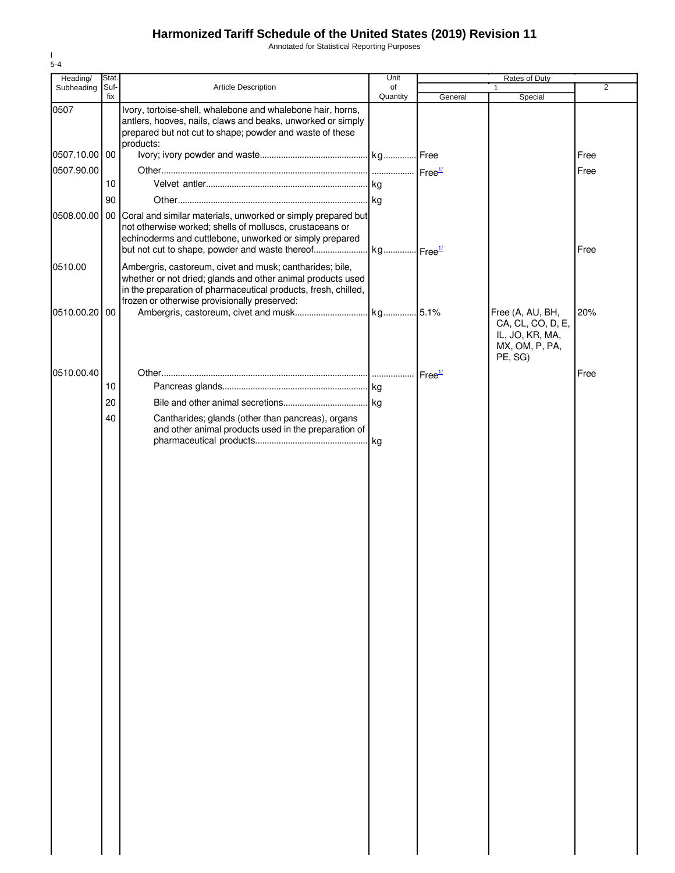Annotated for Statistical Reporting Purposes

| Heading/      | Stat.       |                                                                                                                                                                                                                                           | Unit           | Rates of Duty      |                                                                            |                |
|---------------|-------------|-------------------------------------------------------------------------------------------------------------------------------------------------------------------------------------------------------------------------------------------|----------------|--------------------|----------------------------------------------------------------------------|----------------|
| Subheading    | Suf-<br>fix | Article Description                                                                                                                                                                                                                       | of<br>Quantity | General            | 1<br>Special                                                               | $\overline{2}$ |
| 0507          |             | Ivory, tortoise-shell, whalebone and whalebone hair, horns,<br>antlers, hooves, nails, claws and beaks, unworked or simply<br>prepared but not cut to shape; powder and waste of these<br>products:                                       |                |                    |                                                                            |                |
| 0507.10.00 00 |             |                                                                                                                                                                                                                                           |                |                    |                                                                            | Free           |
| 0507.90.00    |             |                                                                                                                                                                                                                                           |                |                    |                                                                            | Free           |
|               | 10          |                                                                                                                                                                                                                                           |                |                    |                                                                            |                |
|               | 90          |                                                                                                                                                                                                                                           |                |                    |                                                                            |                |
| 0508.00.00    |             | 00 Coral and similar materials, unworked or simply prepared but<br>not otherwise worked; shells of molluscs, crustaceans or<br>echinoderms and cuttlebone, unworked or simply prepared                                                    |                |                    |                                                                            | Free           |
| 0510.00       |             | Ambergris, castoreum, civet and musk; cantharides; bile,<br>whether or not dried; glands and other animal products used<br>in the preparation of pharmaceutical products, fresh, chilled,<br>frozen or otherwise provisionally preserved: |                |                    |                                                                            |                |
| 0510.00.20    | 00          |                                                                                                                                                                                                                                           |                |                    | Free (A, AU, BH,<br>CA, CL, CO, D, E,<br>IL, JO, KR, MA,<br>MX, OM, P, PA, | 20%            |
|               |             |                                                                                                                                                                                                                                           |                |                    | PE, SG)                                                                    |                |
| 0510.00.40    |             |                                                                                                                                                                                                                                           |                | Free <sup>1/</sup> |                                                                            | Free           |
|               | 10          |                                                                                                                                                                                                                                           |                |                    |                                                                            |                |
|               | 20          |                                                                                                                                                                                                                                           |                |                    |                                                                            |                |
|               | 40          | Cantharides; glands (other than pancreas), organs                                                                                                                                                                                         |                |                    |                                                                            |                |
|               |             | and other animal products used in the preparation of                                                                                                                                                                                      |                |                    |                                                                            |                |
|               |             |                                                                                                                                                                                                                                           |                |                    |                                                                            |                |
|               |             |                                                                                                                                                                                                                                           |                |                    |                                                                            |                |
|               |             |                                                                                                                                                                                                                                           |                |                    |                                                                            |                |
|               |             |                                                                                                                                                                                                                                           |                |                    |                                                                            |                |
|               |             |                                                                                                                                                                                                                                           |                |                    |                                                                            |                |
|               |             |                                                                                                                                                                                                                                           |                |                    |                                                                            |                |
|               |             |                                                                                                                                                                                                                                           |                |                    |                                                                            |                |
|               |             |                                                                                                                                                                                                                                           |                |                    |                                                                            |                |
|               |             |                                                                                                                                                                                                                                           |                |                    |                                                                            |                |
|               |             |                                                                                                                                                                                                                                           |                |                    |                                                                            |                |
|               |             |                                                                                                                                                                                                                                           |                |                    |                                                                            |                |
|               |             |                                                                                                                                                                                                                                           |                |                    |                                                                            |                |
|               |             |                                                                                                                                                                                                                                           |                |                    |                                                                            |                |
|               |             |                                                                                                                                                                                                                                           |                |                    |                                                                            |                |
|               |             |                                                                                                                                                                                                                                           |                |                    |                                                                            |                |
|               |             |                                                                                                                                                                                                                                           |                |                    |                                                                            |                |
|               |             |                                                                                                                                                                                                                                           |                |                    |                                                                            |                |
|               |             |                                                                                                                                                                                                                                           |                |                    |                                                                            |                |
|               |             |                                                                                                                                                                                                                                           |                |                    |                                                                            |                |
|               |             |                                                                                                                                                                                                                                           |                |                    |                                                                            |                |
|               |             |                                                                                                                                                                                                                                           |                |                    |                                                                            |                |
|               |             |                                                                                                                                                                                                                                           |                |                    |                                                                            |                |
|               |             |                                                                                                                                                                                                                                           |                |                    |                                                                            |                |
|               |             |                                                                                                                                                                                                                                           |                |                    |                                                                            |                |
|               |             |                                                                                                                                                                                                                                           |                |                    |                                                                            |                |
|               |             |                                                                                                                                                                                                                                           |                |                    |                                                                            |                |
|               |             |                                                                                                                                                                                                                                           |                |                    |                                                                            |                |
|               |             |                                                                                                                                                                                                                                           |                |                    |                                                                            |                |
|               |             |                                                                                                                                                                                                                                           |                |                    |                                                                            |                |
|               |             |                                                                                                                                                                                                                                           |                |                    |                                                                            |                |

I 5-4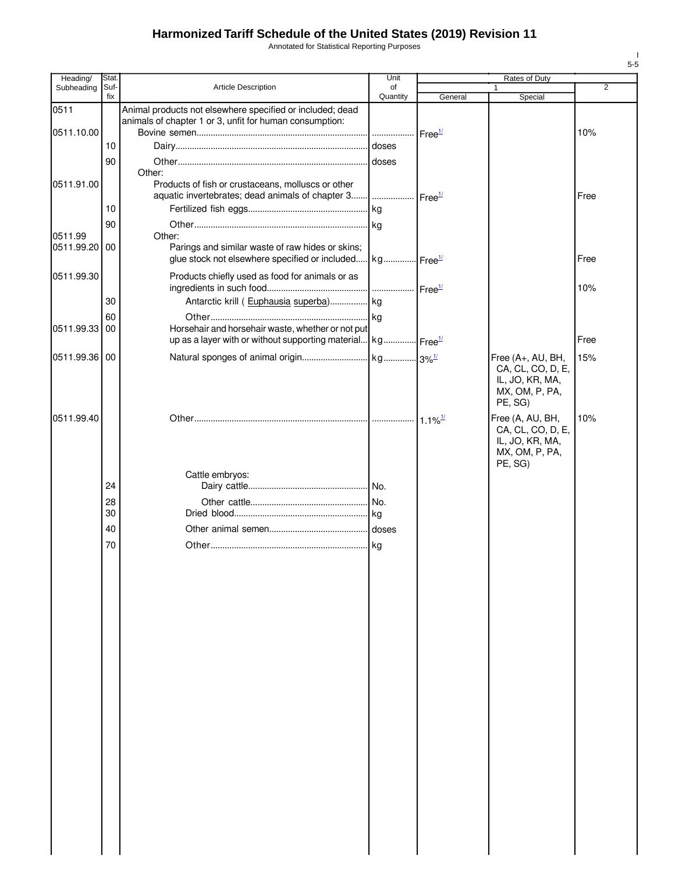Annotated for Statistical Reporting Purposes

| Heading/      | Stat. |                                                                                                                      | Unit                   |                    | Rates of Duty                     |                |
|---------------|-------|----------------------------------------------------------------------------------------------------------------------|------------------------|--------------------|-----------------------------------|----------------|
| Subheading    | Suf-  | <b>Article Description</b>                                                                                           | of                     |                    |                                   | $\overline{2}$ |
|               | fix   |                                                                                                                      | Quantity               | General            | Special                           |                |
| 0511          |       | Animal products not elsewhere specified or included; dead<br>animals of chapter 1 or 3, unfit for human consumption: |                        |                    |                                   |                |
| 0511.10.00    |       |                                                                                                                      | .                      | Free <sup>1/</sup> |                                   | 10%            |
|               | 10    |                                                                                                                      |                        |                    |                                   |                |
|               |       |                                                                                                                      |                        |                    |                                   |                |
|               | 90    |                                                                                                                      | doses                  |                    |                                   |                |
| 0511.91.00    |       | Other:<br>Products of fish or crustaceans, molluscs or other                                                         |                        |                    |                                   |                |
|               |       | aquatic invertebrates; dead animals of chapter 3    Free <sup>1/</sup>                                               |                        |                    |                                   | Free           |
|               | 10    |                                                                                                                      |                        |                    |                                   |                |
|               |       |                                                                                                                      |                        |                    |                                   |                |
| 0511.99       | 90    | Other:                                                                                                               | .lkg                   |                    |                                   |                |
| 0511.99.20 00 |       | Parings and similar waste of raw hides or skins;                                                                     |                        |                    |                                   |                |
|               |       | glue stock not elsewhere specified or included                                                                       | kg Free <sup>1/</sup>  |                    |                                   | Free           |
|               |       |                                                                                                                      |                        |                    |                                   |                |
| 0511.99.30    |       | Products chiefly used as food for animals or as                                                                      |                        |                    |                                   |                |
|               |       |                                                                                                                      | . │ Free <sup>1/</sup> |                    |                                   | 10%            |
|               | 30    | Antarctic krill (Euphausia superba) kg                                                                               |                        |                    |                                   |                |
|               | 60    |                                                                                                                      |                        |                    |                                   |                |
| 0511.99.33 00 |       | Horsehair and horsehair waste, whether or not put                                                                    |                        |                    |                                   |                |
|               |       | up as a layer with or without supporting material kg Free <sup>1/</sup>                                              |                        |                    |                                   | Free           |
| 0511.99.36 00 |       |                                                                                                                      |                        |                    | Free (A+, AU, BH,                 | 15%            |
|               |       |                                                                                                                      |                        |                    | CA, CL, CO, D, E,                 |                |
|               |       |                                                                                                                      |                        |                    | IL, JO, KR, MA,                   |                |
|               |       |                                                                                                                      |                        |                    | MX, OM, P, PA,                    |                |
|               |       |                                                                                                                      |                        |                    | PE, SG)                           |                |
| 0511.99.40    |       |                                                                                                                      |                        |                    | Free (A, AU, BH,                  | 10%            |
|               |       |                                                                                                                      |                        |                    | CA, CL, CO, D, E,                 |                |
|               |       |                                                                                                                      |                        |                    | IL, JO, KR, MA,<br>MX, OM, P, PA, |                |
|               |       |                                                                                                                      |                        |                    | PE, SG)                           |                |
|               |       | Cattle embryos:                                                                                                      |                        |                    |                                   |                |
|               | 24    |                                                                                                                      |                        |                    |                                   |                |
|               | 28    |                                                                                                                      |                        |                    |                                   |                |
|               | 30    |                                                                                                                      |                        |                    |                                   |                |
|               | 40    |                                                                                                                      |                        |                    |                                   |                |
|               |       |                                                                                                                      |                        |                    |                                   |                |
|               | 70    |                                                                                                                      |                        |                    |                                   |                |
|               |       |                                                                                                                      |                        |                    |                                   |                |
|               |       |                                                                                                                      |                        |                    |                                   |                |
|               |       |                                                                                                                      |                        |                    |                                   |                |
|               |       |                                                                                                                      |                        |                    |                                   |                |
|               |       |                                                                                                                      |                        |                    |                                   |                |
|               |       |                                                                                                                      |                        |                    |                                   |                |
|               |       |                                                                                                                      |                        |                    |                                   |                |
|               |       |                                                                                                                      |                        |                    |                                   |                |
|               |       |                                                                                                                      |                        |                    |                                   |                |
|               |       |                                                                                                                      |                        |                    |                                   |                |
|               |       |                                                                                                                      |                        |                    |                                   |                |
|               |       |                                                                                                                      |                        |                    |                                   |                |
|               |       |                                                                                                                      |                        |                    |                                   |                |
|               |       |                                                                                                                      |                        |                    |                                   |                |
|               |       |                                                                                                                      |                        |                    |                                   |                |
|               |       |                                                                                                                      |                        |                    |                                   |                |
|               |       |                                                                                                                      |                        |                    |                                   |                |
|               |       |                                                                                                                      |                        |                    |                                   |                |
|               |       |                                                                                                                      |                        |                    |                                   |                |
|               |       |                                                                                                                      |                        |                    |                                   |                |
|               |       |                                                                                                                      |                        |                    |                                   |                |
|               |       |                                                                                                                      |                        |                    |                                   |                |
|               |       |                                                                                                                      |                        |                    |                                   |                |
|               |       |                                                                                                                      |                        |                    |                                   |                |

I 5-5